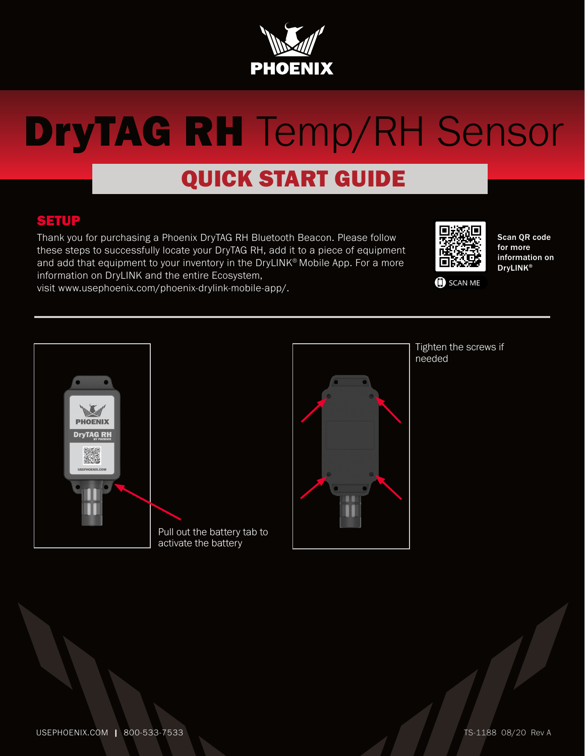

### QUICK START GUIDE

#### SETUP

Thank you for purchasing a Phoenix DryTAG RH Bluetooth Beacon. Please follow these steps to successfully locate your DryTAG RH, add it to a piece of equipment and add that equipment to your inventory in the DryLINK® Mobile App. For a more information on DryLINK and the entire Ecosystem,





Scan QR code for more information on DryLINK®

SCAN ME



Pull out the battery tab to activate the battery



Tighten the screws if needed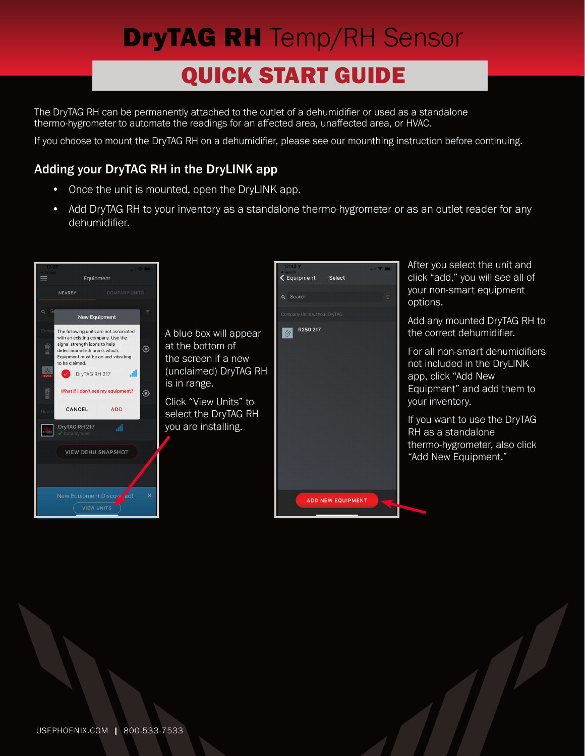## QUICK START GUIDE

The DryTAG RH can be permanently attached to the outlet of a dehumidifier or used as a standalone thermo-hygrometer to automate the readings for an affected area, unaffected area, or HVAC.

If you choose to mount the DryTAG RH on a dehumidifier, please see our mounthing instruction before continuing.

#### Adding your DryTAG RH in the DryLINK app

- Once the unit is mounted, open the DryLINK app.
- Add DryTAG RH to your inventory as a standalone thermo-hygrometer or as an outlet reader for any dehumidifier.

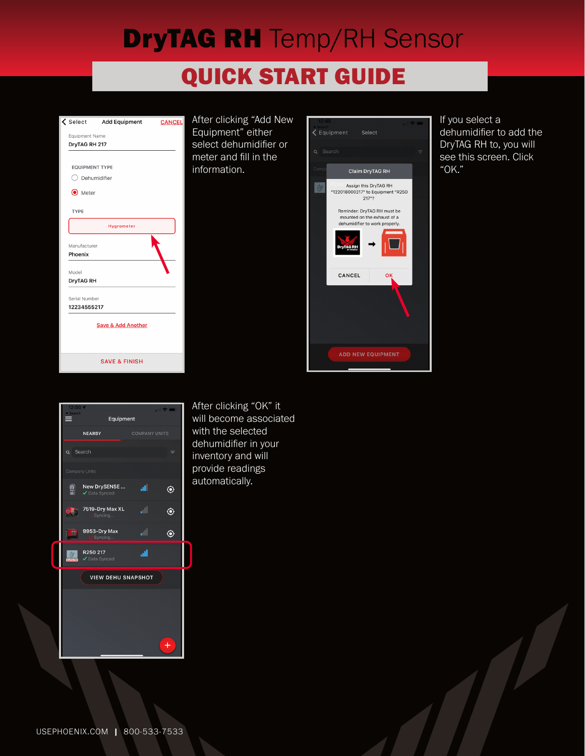### **QUICK START GUIDE**



After clicking "Add New Equipment" either select dehumidifier or meter and fill in the information.



If you select a dehumidifier to add the DryTAG RH to, you will see this screen. Click "OK."



After clicking "OK" it will become associated with the selected dehumidifier in your inventory and will provide readings automatically.